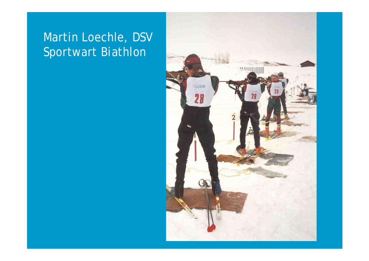## Martin Loechle, DSV Sportwart Biathlon

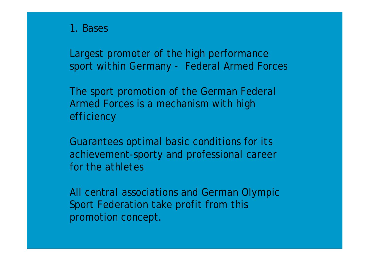1. Bases

Largest promoter of the high performance sport within Germany - Federal Armed Forces

The sport promotion of the German Federal Armed Forces is a mechanism with high efficiency

Guarantees optimal basic conditions for its achievement-sporty and professional career for the athletes

All central associations and German Olympic Sport Federation take profit from this promotion concept.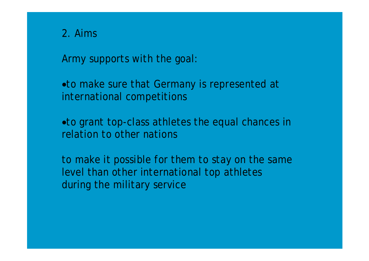2. Aims

Army supports with the goal:

• to make sure that Germany is represented at international competitions

• to grant top-class athletes the equal chances in relation to other nations

to make it possible for them to stay on the same level than other international top athletes during the military service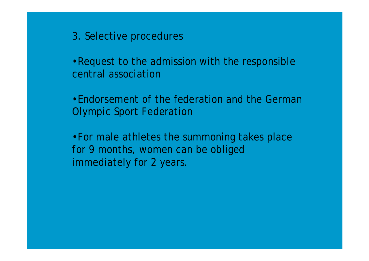3. Selective procedures

•Request to the admission with the responsible central association

•Endorsement of the federation and the German Olympic Sport Federation

•For male athletes the summoning takes place for 9 months, women can be obliged immediately for 2 years.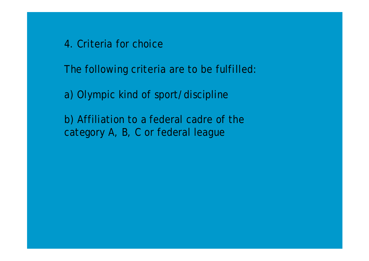4. Criteria for choice

The following criteria are to be fulfilled:

a) Olympic kind of sport/discipline

b) Affiliation to a federal cadre of the category A, B, C or federal league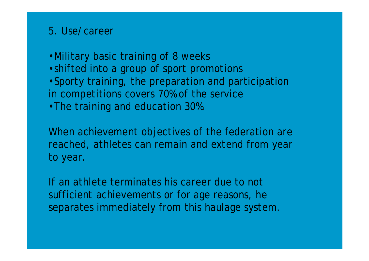## 5. Use/career

•Military basic training of 8 weeks

- •shifted into a group of sport promotions
- •Sporty training, the preparation and participation in competitions covers 70% of the service
- •The training and education 30%.

When achievement objectives of the federation are reached, athletes can remain and extend from year to year.

If an athlete terminates his career due to not sufficient achievements or for age reasons, he separates immediately from this haulage system.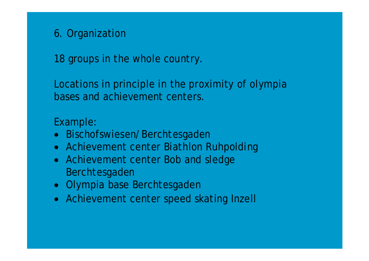## 6. Organization

18 groups in the whole country.

Locations in principle in the proximity of olympia bases and achievement centers.

## Example:

- Bischofswiesen/Berchtesgaden
- Achievement center Biathlon Ruhpolding
- Achievement center Bob and sledge Berchtesgaden
- Olympia base Berchtesgaden
- Achievement center speed skating Inzell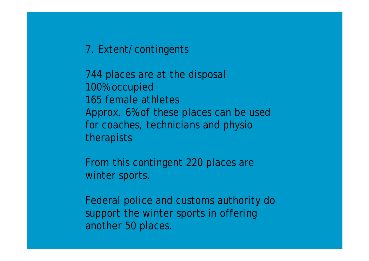7. Extent/contingents

744 places are at the disposal 100% occupied 165 female athletes Approx. 6% of these places can be used for coaches, technicians and physio therapists

From this contingent 220 places are winter sports.

Federal police and customs authority do support the winter sports in offering another 50 places.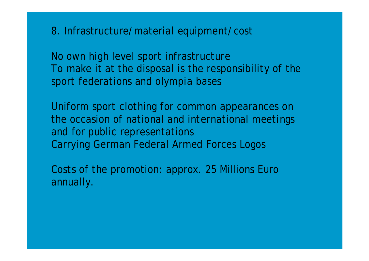8. Infrastructure/material equipment/cost

No own high level sport infrastructure To make it at the disposal is the responsibility of the sport federations and olympia bases

Uniform sport clothing for common appearances on the occasion of national and international meetings and for public representations Carrying German Federal Armed Forces Logos

Costs of the promotion: approx. 25 Millions Euro annually.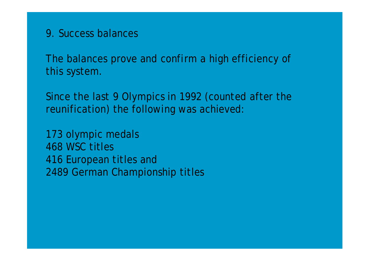9. Success balances

The balances prove and confirm a high efficiency of this system.

Since the last 9 Olympics in 1992 (counted after the reunification) the following was achieved:

173 olympic medals 468 WSC titles 416 European titles and 2489 German Championship titles